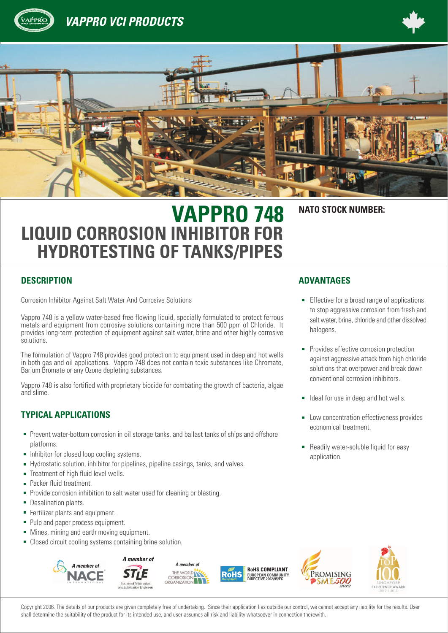

## **VAPPRO VCI PRODUCTS**





# **VAPPRO 748 NATO STOCK NUMBER: LIQUID CORROSION INHIBITOR FOR HYDROTESTING OF TANKS/PIPES**

## **DESCRIPTION ADVANTAGES**

Corrosion Inhibitor Against Salt Water And Corrosive Solutions **Exercise 19 and Community** Effective for a broad range of applications

Vappro 748 is a yellow water-based free flowing liquid, specially formulated to protect ferrous metals and equipment from corrosive solutions containing more than 500 ppm of Chloride. It provides long-term protection of equipment against salt water, brine and other highly corrosive solutions.

The formulation of Vappro 748 provides good protection to equipment used in deep and hot wells in both gas and oil applications. Vappro 748 does not contain toxic substances like Chromate, Barium Bromate or any Ozone depleting substances.

Vappro 748 is also fortified with proprietary biocide for combating the growth of bacteria, algae and slime.

## **TYPICAL APPLICATIONS**

- **Prevent water-bottom corrosion in oil storage tanks, and ballast tanks of ships and offshore** platforms.
- Inhibitor for closed loop cooling systems.
- Hydrostatic solution, inhibitor for pipelines, pipeline casings, tanks, and valves.  $\blacksquare$
- Treatment of high fluid level wells.  $\blacksquare$
- Packer fluid treatment.
- Provide corrosion inhibition to salt water used for cleaning or blasting. n.
- ú. Desalination plants.
- a, Fertilizer plants and equipment.
- ú. Pulp and paper process equipment.
- a. Mines, mining and earth moving equipment.
- Closed circuit cooling systems containing brine solution.  $\blacksquare$



Copyright 2006. The details of our products are given completely free of undertaking. Since their application lies outside our control, we cannot accept any liability for the results. User shall determine the suitability of the product for its intended use, and user assumes all risk and liability whatsoever in connection therewith.

- to stop aggressive corrosion from fresh and salt water, brine, chloride and other dissolved halogens.
- **Provides effective corrosion protection** against aggressive attack from high chloride solutions that overpower and break down conventional corrosion inhibitors.
- Ideal for use in deep and hot wells.  $\blacksquare$
- **Low concentration effectiveness provides** economical treatment.
- **Readily water-soluble liquid for easy** application.